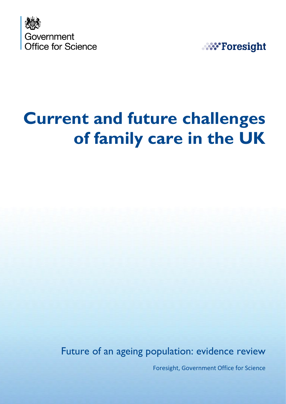



# **Current and future challenges of family care in the UK**

Future of an ageing population: evidence review

Foresight, Government Office for Science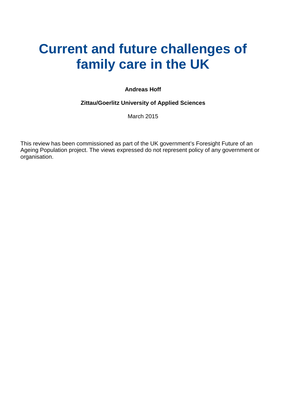## **Current and future challenges of family care in the UK**

#### **Andreas Hoff**

#### **Zittau/Goerlitz University of Applied Sciences**

March 2015

This review has been commissioned as part of the UK government's Foresight Future of an Ageing Population project. The views expressed do not represent policy of any government or organisation.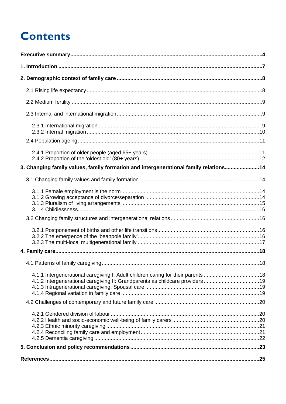## **Contents**

| 3. Changing family values, family formation and intergenerational family relations14 |  |
|--------------------------------------------------------------------------------------|--|
|                                                                                      |  |
|                                                                                      |  |
|                                                                                      |  |
|                                                                                      |  |
|                                                                                      |  |
|                                                                                      |  |
| 4.1.2 Intergenerational caregiving II: Grandparents as childcare providers19         |  |
|                                                                                      |  |
|                                                                                      |  |
|                                                                                      |  |
|                                                                                      |  |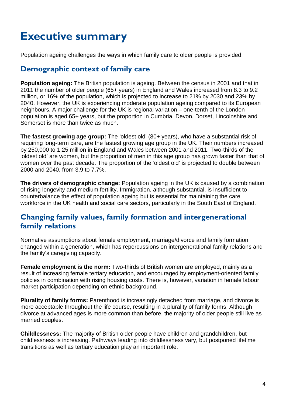## <span id="page-3-0"></span>**Executive summary**

Population ageing challenges the ways in which family care to older people is provided.

### **Demographic context of family care**

**Population ageing:** The British population is ageing. Between the census in 2001 and that in 2011 the number of older people (65+ years) in England and Wales increased from 8.3 to 9.2 million, or 16% of the population, which is projected to increase to 21% by 2030 and 23% by 2040. However, the UK is experiencing moderate population ageing compared to its European neighbours. A major challenge for the UK is regional variation – one-tenth of the London population is aged 65+ years, but the proportion in Cumbria, Devon, Dorset, Lincolnshire and Somerset is more than twice as much.

**The fastest growing age group:** The 'oldest old' (80+ years), who have a substantial risk of requiring long-term care, are the fastest growing age group in the UK. Their numbers increased by 250,000 to 1.25 million in England and Wales between 2001 and 2011. Two-thirds of the 'oldest old' are women, but the proportion of men in this age group has grown faster than that of women over the past decade. The proportion of the 'oldest old' is projected to double between 2000 and 2040, from 3.9 to 7.7%.

**The drivers of demographic change:** Population ageing in the UK is caused by a combination of rising longevity and medium fertility. Immigration, although substantial, is insufficient to counterbalance the effect of population ageing but is essential for maintaining the care workforce in the UK health and social care sectors, particularly in the South East of England.

### **Changing family values, family formation and intergenerational family relations**

Normative assumptions about female employment, marriage/divorce and family formation changed within a generation, which has repercussions on intergenerational family relations and the family's caregiving capacity.

**Female employment is the norm:** Two-thirds of British women are employed, mainly as a result of increasing female tertiary education, and encouraged by employment-oriented family policies in combination with rising housing costs. There is, however, variation in female labour market participation depending on ethnic background.

**Plurality of family forms:** Parenthood is increasingly detached from marriage, and divorce is more acceptable throughout the life course, resulting in a plurality of family forms. Although divorce at advanced ages is more common than before, the majority of older people still live as married couples.

**Childlessness:** The majority of British older people have children and grandchildren, but childlessness is increasing. Pathways leading into childlessness vary, but postponed lifetime transitions as well as tertiary education play an important role.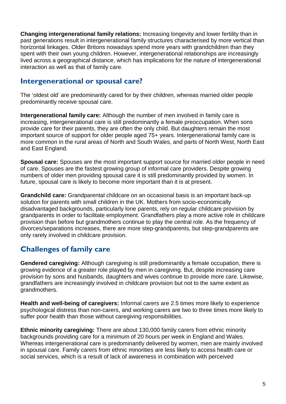**Changing intergenerational family relations:** Increasing longevity and lower fertility than in past generations result in intergenerational family structures characterised by more vertical than horizontal linkages. Older Britons nowadays spend more years with grandchildren than they spent with their own young children. However, intergenerational relationships are increasingly lived across a geographical distance, which has implications for the nature of intergenerational interaction as well as that of family care.

### **Intergenerational or spousal care?**

The 'oldest old' are predominantly cared for by their children, whereas married older people predominantly receive spousal care.

**Intergenerational family care:** Although the number of men involved in family care is increasing, intergenerational care is still predominantly a female preoccupation. When sons provide care for their parents, they are often the only child. But daughters remain the most important source of support for older people aged 75+ years. Intergenerational family care is more common in the rural areas of North and South Wales, and parts of North West, North East and East England.

**Spousal care:** Spouses are the most important support source for married older people in need of care. Spouses are the fastest growing group of informal care providers. Despite growing numbers of older men providing spousal care it is still predominantly provided by women. In future, spousal care is likely to become more important than it is at present.

**Grandchild care:** Grandparental childcare on an occasional basis is an important back-up solution for parents with small children in the UK. Mothers from socio-economically disadvantaged backgrounds, particularly lone parents, rely on regular childcare provision by grandparents in order to facilitate employment. Grandfathers play a more active role in childcare provision than before but grandmothers continue to play the central role. As the frequency of divorces/separations increases, there are more step-grandparents, but step-grandparents are only rarely involved in childcare provision.

### **Challenges of family care**

**Gendered caregiving:** Although caregiving is still predominantly a female occupation, there is growing evidence of a greater role played by men in caregiving. But, despite increasing care provision by sons and husbands, daughters and wives continue to provide more care. Likewise, grandfathers are increasingly involved in childcare provision but not to the same extent as grandmothers.

**Health and well-being of caregivers:** Informal carers are 2.5 times more likely to experience psychological distress than non-carers, and working carers are two to three times more likely to suffer poor health than those without caregiving responsibilities.

**Ethnic minority caregiving:** There are about 130,000 family carers from ethnic minority backgrounds providing care for a minimum of 20 hours per week in England and Wales. Whereas intergenerational care is predominantly delivered by women, men are mainly involved in spousal care. Family carers from ethnic minorities are less likely to access health care or social services, which is a result of lack of awareness in combination with perceived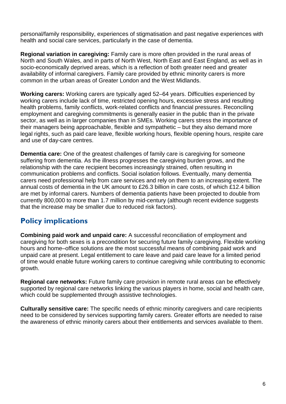personal/family responsibility, experiences of stigmatisation and past negative experiences with health and social care services, particularly in the case of dementia.

**Regional variation in caregiving:** Family care is more often provided in the rural areas of North and South Wales, and in parts of North West, North East and East England, as well as in socio-economically deprived areas, which is a reflection of both greater need and greater availability of informal caregivers. Family care provided by ethnic minority carers is more common in the urban areas of Greater London and the West Midlands.

**Working carers:** Working carers are typically aged 52–64 years. Difficulties experienced by working carers include lack of time, restricted opening hours, excessive stress and resulting health problems, family conflicts, work-related conflicts and financial pressures. Reconciling employment and caregiving commitments is generally easier in the public than in the private sector, as well as in larger companies than in SMEs. Working carers stress the importance of their managers being approachable, flexible and sympathetic – but they also demand more legal rights, such as paid care leave, flexible working hours, flexible opening hours, respite care and use of day-care centres.

**Dementia care:** One of the greatest challenges of family care is caregiving for someone suffering from dementia. As the illness progresses the caregiving burden grows, and the relationship with the care recipient becomes increasingly strained, often resulting in communication problems and conflicts. Social isolation follows. Eventually, many dementia carers need professional help from care services and rely on them to an increasing extent. The annual costs of dementia in the UK amount to £26.3 billion in care costs, of which £12.4 billion are met by informal carers. Numbers of dementia patients have been projected to double from currently 800,000 to more than 1.7 million by mid-century (although recent evidence suggests that the increase may be smaller due to reduced risk factors).

### **Policy implications**

**Combining paid work and unpaid care:** A successful reconciliation of employment and caregiving for both sexes is a precondition for securing future family caregiving. Flexible working hours and home–office solutions are the most successful means of combining paid work and unpaid care at present. Legal entitlement to care leave and paid care leave for a limited period of time would enable future working carers to continue caregiving while contributing to economic growth.

**Regional care networks:** Future family care provision in remote rural areas can be effectively supported by regional care networks linking the various players in home, social and health care, which could be supplemented through assistive technologies.

**Culturally sensitive care:** The specific needs of ethnic minority caregivers and care recipients need to be considered by services supporting family carers. Greater efforts are needed to raise the awareness of ethnic minority carers about their entitlements and services available to them.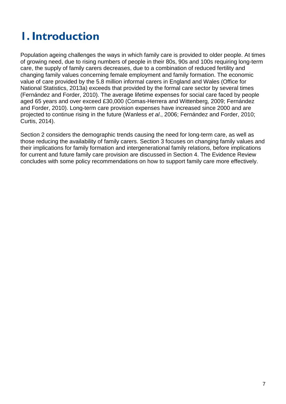## <span id="page-6-0"></span>**1. Introduction**

Population ageing challenges the ways in which family care is provided to older people. At times of growing need, due to rising numbers of people in their 80s, 90s and 100s requiring long-term care, the supply of family carers decreases, due to a combination of reduced fertility and changing family values concerning female employment and family formation. The economic value of care provided by the 5.8 million informal carers in England and Wales (Office for National Statistics, 2013a) exceeds that provided by the formal care sector by several times (Fernández and Forder, 2010). The average lifetime expenses for social care faced by people aged 65 years and over exceed £30,000 (Comas-Herrera and Wittenberg, 2009; Fernández and Forder, 2010). Long-term care provision expenses have increased since 2000 and are projected to continue rising in the future (Wanless *et al*., 2006; Fernández and Forder, 2010; Curtis, 2014).

Section 2 considers the demographic trends causing the need for long-term care, as well as those reducing the availability of family carers. Section 3 focuses on changing family values and their implications for family formation and intergenerational family relations, before implications for current and future family care provision are discussed in Section 4. The Evidence Review concludes with some policy recommendations on how to support family care more effectively.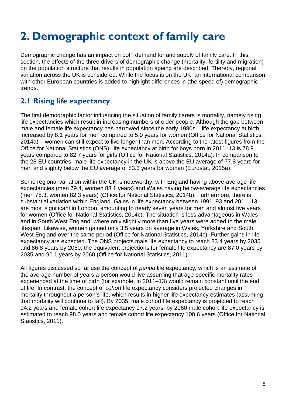## <span id="page-7-0"></span>**2. Demographic context of family care**

Demographic change has an impact on both demand for and supply of family care. In this section, the effects of the three drivers of demographic change (mortality, fertility and migration) on the population structure that results in population ageing are described. Thereby, regional variation across the UK is considered. While the focus is on the UK, an international comparison with other European countries is added to highlight differences in (the speed of) demographic trends.

## <span id="page-7-1"></span>**2.1 Rising life expectancy**

The first demographic factor influencing the situation of family carers is mortality, namely rising life expectancies which result in increasing numbers of older people. Although the gap between male and female life expectancy has narrowed since the early 1980s – life expectancy at birth increased by 8.1 years for men compared to 5.9 years for women (Office for National Statistics, 2014a) – women can still expect to live longer than men. According to the latest figures from the Office for National Statistics (ONS), life expectancy at birth for boys born in 2011–13 is 78.9 years compared to 82.7 years for girls (Office for National Statistics, 2014a). In comparison to the 28 EU countries, male life expectancy in the UK is above the EU average of 77.8 years for men and slightly below the EU average of 83.3 years for women (Eurostat, 2015a).

Some regional variation within the UK is noteworthy, with England having above-average life expectancies (men 79.4, women 83.1 years) and Wales having below-average life expectancies (men 78.3, women 82.3 years) (Office for National Statistics, 2014b). Furthermore, there is substantial variation within England. Gains in life expectancy between 1991–93 and 2011–13 are most significant in London, amounting to nearly seven years for men and almost five years for women (Office for National Statistics, 2014c). The situation is less advantageous in Wales and in South West England, where only slightly more than five years were added to the male lifespan. Likewise, women gained only 3.5 years on average in Wales, Yorkshire and South West England over the same period (Office for National Statistics, 2014c). Further gains in life expectancy are expected. The ONS projects male life expectancy to reach 83.4 years by 2035 and 86.8 years by 2060; the equivalent projections for female life expectancy are 87.0 years by 2035 and 90.1 years by 2060 (Office for National Statistics, 2011).

All figures discussed so far use the concept of *period* life expectancy, which is an estimate of the average number of years a person would live assuming that age-specific mortality rates experienced at the time of birth (for example, in 2011–13) would remain constant until the end of life. In contrast, the concept of *cohort* life expectancy considers projected changes in mortality throughout a person's life, which results in higher life expectancy estimates (assuming that mortality will continue to fall). By 2035, male cohort life expectancy is projected to reach 94.2 years and female cohort life expectancy 97.2 years; by 2060 male cohort life expectancy is estimated to reach 98.0 years and female cohort life expectancy 100.6 years (Office for National Statistics, 2011).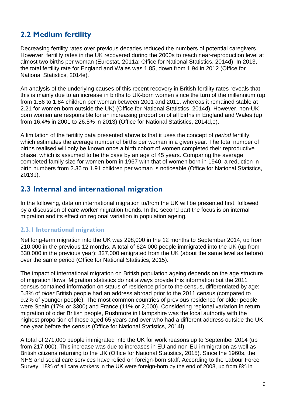## <span id="page-8-0"></span>**2.2 Medium fertility**

Decreasing fertility rates over previous decades reduced the numbers of potential caregivers. However, fertility rates in the UK recovered during the 2000s to reach near-reproduction level at almost two births per woman (Eurostat, 2011a; Office for National Statistics, 2014d). In 2013, the total fertility rate for England and Wales was 1.85, down from 1.94 in 2012 (Office for National Statistics, 2014e).

An analysis of the underlying causes of this recent recovery in British fertility rates reveals that this is mainly due to an increase in births to UK-born women since the turn of the millennium (up from 1.56 to 1.84 children per woman between 2001 and 2011, whereas it remained stable at 2.21 for women born outside the UK) (Office for National Statistics, 2014d). However, non-UK born women are responsible for an increasing proportion of all births in England and Wales (up from 16.4% in 2001 to 26.5% in 2013) (Office for National Statistics, 2014d,e).

A limitation of the fertility data presented above is that it uses the concept of *period* fertility, which estimates the average number of births per woman in a given year. The total number of births realised will only be known once a birth cohort of women completed their reproductive phase, which is assumed to be the case by an age of 45 years. Comparing the average completed family size for women born in 1967 with that of women born in 1940, a reduction in birth numbers from 2.36 to 1.91 children per woman is noticeable (Office for National Statistics, 2013b).

### <span id="page-8-1"></span>**2.3 Internal and international migration**

In the following, data on international migration to/from the UK will be presented first, followed by a discussion of care worker migration trends. In the second part the focus is on internal migration and its effect on regional variation in population ageing.

#### <span id="page-8-2"></span>**2.3.1 International migration**

Net long-term migration into the UK was 298,000 in the 12 months to September 2014, up from 210,000 in the previous 12 months. A total of 624,000 people immigrated into the UK (up from 530,000 in the previous year); 327,000 emigrated from the UK (about the same level as before) over the same period (Office for National Statistics, 2015).

The impact of international migration on British population ageing depends on the age structure of migration flows. Migration statistics do not always provide this information but the 2011 census contained information on status of residence prior to the census, differentiated by age: 5.8% of *older* British people had an address abroad prior to the 2011 census (compared to 9.2% of younger people). The most common countries of previous residence for older people were Spain (17% or 3300) and France (11% or 2,000). Considering regional variation in return migration of older British people, Rushmore in Hampshire was the local authority with the highest proportion of those aged 65 years and over who had a different address outside the UK one year before the census (Office for National Statistics, 2014f).

A total of 271,000 people immigrated into the UK for work reasons up to September 2014 (up from 217,000). This increase was due to increases in EU and non-EU immigration as well as British citizens returning to the UK (Office for National Statistics, 2015). Since the 1960s, the NHS and social care services have relied on foreign-born staff. According to the Labour Force Survey, 18% of all care workers in the UK were foreign-born by the end of 2008, up from 8% in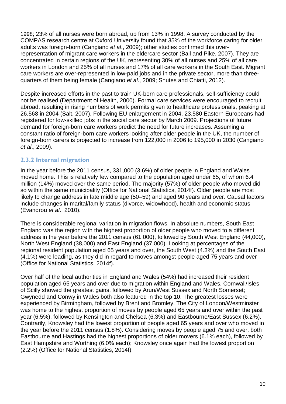1998; 23% of all nurses were born abroad, up from 13% in 1998. A survey conducted by the COMPAS research centre at Oxford University found that 35% of the workforce caring for older adults was foreign-born (Cangiano *et al*., 2009); other studies confirmed this overrepresentation of migrant care workers in the eldercare sector (Ball and Pike, 2007). They are concentrated in certain regions of the UK, representing 30% of all nurses and 25% of all care workers in London and 25% of all nurses and 17% of all care workers in the South East. Migrant care workers are over-represented in low-paid jobs and in the private sector, more than threequarters of them being female (Cangiano *et al*., 2009; Shutes and Chiatti, 2012).

Despite increased efforts in the past to train UK-born care professionals, self-sufficiency could not be realised (Department of Health, 2000). Formal care services were encouraged to recruit abroad, resulting in rising numbers of work permits given to healthcare professionals, peaking at 26,568 in 2004 (Salt, 2007). Following EU enlargement in 2004, 23,580 Eastern Europeans had registered for low-skilled jobs in the social care sector by March 2009. Projections of future demand for foreign-born care workers predict the need for future increases. Assuming a constant ratio of foreign-born care workers looking after older people in the UK, the number of foreign-born carers is projected to increase from 122,000 in 2006 to 195,000 in 2030 (Cangiano *et al*., 2009).

#### <span id="page-9-0"></span>**2.3.2 Internal migration**

In the year before the 2011 census, 331,000 (3.6%) of older people in England and Wales moved home. This is relatively few compared to the population aged under 65, of whom 6.4 million (14%) moved over the same period. The majority (57%) of older people who moved did so within the same municipality (Office for National Statistics, 2014f). Older people are most likely to change address in late middle age (50–59) and aged 90 years and over. Causal factors include changes in marital/family status (divorce, widowhood), health and economic status (Evandrou *et al*., 2010).

There is considerable regional variation in migration flows. In absolute numbers, South East England was the region with the highest proportion of older people who moved to a different address in the year before the 2011 census (61,000), followed by South West England (44,000), North West England (38,000) and East England (37,000). Looking at percentages of the regional resident population aged 65 years and over, the South West (4.3%) and the South East (4.1%) were leading, as they did in regard to moves amongst people aged 75 years and over (Office for National Statistics, 2014f).

Over half of the local authorities in England and Wales (54%) had increased their resident population aged 65 years and over due to migration within England and Wales. Cornwall/Isles of Scilly showed the greatest gains, followed by Arun/West Sussex and North Somerset; Gwynedd and Conwy in Wales both also featured in the top 10. The greatest losses were experienced by Birmingham, followed by Brent and Bromley. The City of London/Westminster was home to the highest proportion of moves by people aged 65 years and over within the past year (6.5%), followed by Kensington and Chelsea (6.3%) and Eastbourne/East Sussex (6.2%). Contrarily, Knowsley had the lowest proportion of people aged 65 years and over who moved in the year before the 2011 census (1.8%). Considering moves by people aged 75 and over, both Eastbourne and Hastings had the highest proportions of older movers (6.1% each), followed by East Hampshire and Worthing (6.0% each); Knowsley once again had the lowest proportion (2.2%) (Office for National Statistics, 2014f).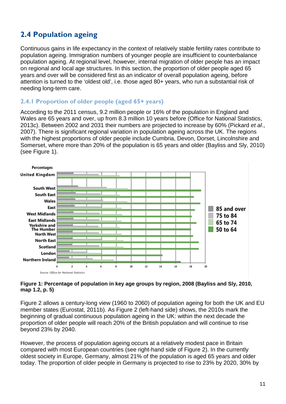## <span id="page-10-0"></span>**2.4 Population ageing**

Continuous gains in life expectancy in the context of relatively stable fertility rates contribute to population ageing. Immigration numbers of younger people are insufficient to counterbalance population ageing. At regional level, however, internal migration of older people has an impact on regional and local age structures. In this section, the proportion of older people aged 65 years and over will be considered first as an indicator of overall population ageing, before attention is turned to the 'oldest old', i.e. those aged 80+ years, who run a substantial risk of needing long-term care.

#### <span id="page-10-1"></span>**2.4.1 Proportion of older people (aged 65+ years)**

According to the 2011 census, 9.2 million people or 16% of the population in England and Wales are 65 years and over, up from 8.3 million 10 years before (Office for National Statistics, 2013c). Between 2002 and 2031 their numbers are projected to increase by 60% (Pickard *et al*., 2007). There is significant regional variation in population ageing across the UK. The regions with the highest proportions of older people include Cumbria, Devon, Dorset, Lincolnshire and Somerset, where more than 20% of the population is 65 years and older (Bayliss and Sly, 2010) (see Figure 1).



#### **Figure 1: Percentage of population in key age groups by region, 2008 (Bayliss and Sly, 2010, map 1.2, p. 5)**

Figure 2 allows a century-long view (1960 to 2060) of population ageing for both the UK and EU member states (Eurostat, 2011b). As Figure 2 (left-hand side) shows, the 2010s mark the beginning of gradual continuous population ageing in the UK: within the next decade the proportion of older people will reach 20% of the British population and will continue to rise beyond 23% by 2040.

However, the process of population ageing occurs at a relatively modest pace in Britain compared with most European countries (see right-hand side of Figure 2). In the currently oldest society in Europe, Germany, almost 21% of the population is aged 65 years and older today. The proportion of older people in Germany is projected to rise to 23% by 2020, 30% by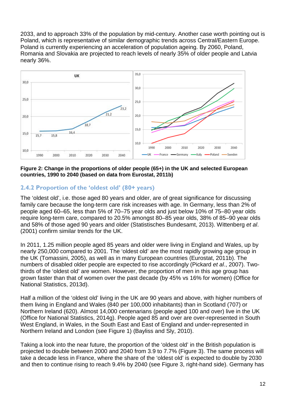2033, and to approach 33% of the population by mid-century. Another case worth pointing out is Poland, which is representative of similar demographic trends across Central/Eastern Europe. Poland is currently experiencing an acceleration of population ageing. By 2060, Poland, Romania and Slovakia are projected to reach levels of nearly 35% of older people and Latvia nearly 36%.



#### **Figure 2: Change in the proportions of older people (65+) in the UK and selected European countries, 1990 to 2040 (based on data from Eurostat, 2011b)**

#### <span id="page-11-0"></span>**2.4.2 Proportion of the 'oldest old' (80+ years)**

The 'oldest old', i.e. those aged 80 years and older, are of great significance for discussing family care because the long-term care risk increases with age. In Germany, less than 2% of people aged 60–65, less than 5% of 70–75 year olds and just below 10% of 75–80 year olds require long-term care, compared to 20.5% amongst 80–85 year olds, 38% of 85–90 year olds and 58% of those aged 90 years and older (Statistisches Bundesamt, 2013). Wittenberg *et al*. (2001) confirm similar trends for the UK.

In 2011, 1.25 million people aged 85 years and older were living in England and Wales, up by nearly 250,000 compared to 2001. The 'oldest old' are the most rapidly growing age group in the UK (Tomassini, 2005), as well as in many European countries (Eurostat, 2011b). The numbers of disabled older people are expected to rise accordingly (Pickard *et al*., 2007). Twothirds of the 'oldest old' are women. However, the proportion of men in this age group has grown faster than that of women over the past decade (by 45% vs 16% for women) (Office for National Statistics, 2013d).

Half a million of the 'oldest old' living in the UK are 90 years and above, with higher numbers of them living in England and Wales (840 per 100,000 inhabitants) than in Scotland (707) or Northern Ireland (620). Almost 14,000 centenarians (people aged 100 and over) live in the UK (Office for National Statistics, 2014g). People aged 85 and over are over-represented in South West England, in Wales, in the South East and East of England and under-represented in Northern Ireland and London (see Figure 1) (Bayliss and Sly, 2010).

Taking a look into the near future, the proportion of the 'oldest old' in the British population is projected to double between 2000 and 2040 from 3.9 to 7.7% (Figure 3). The same process will take a decade less in France, where the share of the 'oldest old' is expected to double by 2030 and then to continue rising to reach 9.4% by 2040 (see Figure 3, right-hand side). Germany has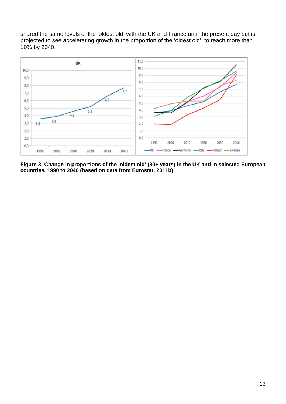shared the same levels of the 'oldest old' with the UK and France until the present day but is projected to see accelerating growth in the proportion of the 'oldest old', to reach more than 10% by 2040.



**Figure 3: Change in proportions of the 'oldest old' (80+ years) in the UK and in selected European countries, 1990 to 2040 (based on data from Eurostat, 2011b)**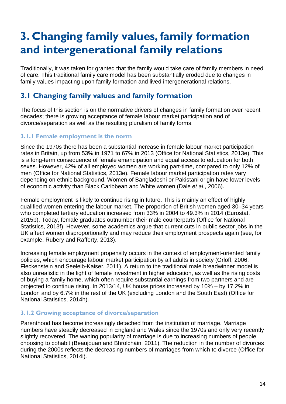## <span id="page-13-0"></span>**3. Changing family values, family formation and intergenerational family relations**

Traditionally, it was taken for granted that the family would take care of family members in need of care. This traditional family care model has been substantially eroded due to changes in family values impacting upon family formation and lived intergenerational relations.

## <span id="page-13-1"></span>**3.1 Changing family values and family formation**

The focus of this section is on the normative drivers of changes in family formation over recent decades; there is growing acceptance of female labour market participation and of divorce/separation as well as the resulting pluralism of family forms.

#### <span id="page-13-2"></span>**3.1.1 Female employment is the norm**

Since the 1970s there has been a substantial increase in female labour market participation rates in Britain, up from 53% in 1971 to 67% in 2013 (Office for National Statistics, 2013e). This is a long-term consequence of female emancipation and equal access to education for both sexes. However, 42% of all employed women are working part-time, compared to only 12% of men (Office for National Statistics, 2013e). Female labour market participation rates vary depending on ethnic background. Women of Bangladeshi or Pakistani origin have lower levels of economic activity than Black Caribbean and White women (Dale *et al*., 2006).

Female employment is likely to continue rising in future. This is mainly an effect of highly qualified women entering the labour market. The proportion of British women aged 30–34 years who completed tertiary education increased from 33% in 2004 to 49.3% in 2014 (Eurostat, 2015b). Today, female graduates outnumber their male counterparts (Office for National Statistics, 2013f). However, some academics argue that current cuts in public sector jobs in the UK affect women disproportionally and may reduce their employment prospects again (see, for example, Rubery and Rafferty, 2013).

Increasing female employment propensity occurs in the context of employment-oriented family policies, which encourage labour market participation by all adults in society (Orloff, 2006; Fleckenstein and Seeleib-Kaiser, 2011). A return to the traditional male breadwinner model is also unrealistic in the light of female investment in higher education, as well as the rising costs of buying a family home, which often require substantial earnings from two partners and are projected to continue rising. In 2013/14, UK house prices increased by 10% – by 17.2% in London and by 6.7% in the rest of the UK (excluding London and the South East) (Office for National Statistics, 2014h).

#### <span id="page-13-3"></span>**3.1.2 Growing acceptance of divorce/separation**

Parenthood has become increasingly detached from the institution of marriage. Marriage numbers have steadily decreased in England and Wales since the 1970s and only very recently slightly recovered. The waning popularity of marriage is due to increasing numbers of people choosing to cohabit (Beaujouan and Bhrolcháin, 2011). The reduction in the number of divorces during the 2000s reflects the decreasing numbers of marriages from which to divorce (Office for National Statistics, 2014i).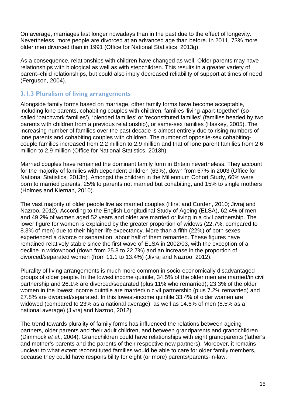On average, marriages last longer nowadays than in the past due to the effect of longevity. Nevertheless, more people are divorced at an advanced age than before. In 2011, 73% more older men divorced than in 1991 (Office for National Statistics, 2013g).

As a consequence, relationships with children have changed as well. Older parents may have relationships with biological as well as with stepchildren. This results in a greater variety of parent–child relationships, but could also imply decreased reliability of support at times of need (Ferguson, 2004).

#### <span id="page-14-0"></span>**3.1.3 Pluralism of living arrangements**

Alongside family forms based on marriage, other family forms have become acceptable, including lone parents, cohabiting couples with children, families 'living-apart-together' (socalled 'patchwork families'), 'blended families' or 'reconstituted families' (families headed by two parents with children from a previous relationship), or same-sex families (Haskey, 2005). The increasing number of families over the past decade is almost entirely due to rising numbers of lone parents and cohabiting couples with children. The number of opposite-sex cohabitingcouple families increased from 2.2 million to 2.9 million and that of lone parent families from 2.6 million to 2.9 million (Office for National Statistics, 2013h).

Married couples have remained the dominant family form in Britain nevertheless. They account for the majority of families with dependent children (63%), down from 67% in 2003 (Office for National Statistics, 2013h). Amongst the children in the Millennium Cohort Study, 60% were born to married parents, 25% to parents not married but cohabiting, and 15% to single mothers (Holmes and Kiernan, 2010).

The vast majority of older people live as married couples (Hirst and Corden, 2010; Jivraj and Nazroo, 2012). According to the English Longitudinal Study of Ageing (ELSA), 62.4% of men and 49.2% of women aged 52 years and older are married or living in a civil partnership. The lower figure for women is explained by the greater proportion of widows (22.7%, compared to 8.3% of men) due to their higher life expectancy. More than a fifth (22%) of both sexes experienced a divorce or separation; about half of them remarried. These figures have remained relatively stable since the first wave of ELSA in 2002/03, with the exception of a decline in widowhood (down from 25.8 to 22.7%) and an increase in the proportion of divorced/separated women (from 11.1 to 13.4%) (Jivraj and Nazroo, 2012).

Plurality of living arrangements is much more common in socio-economically disadvantaged groups of older people. In the lowest income quintile, 34.5% of the older men are married/in civil partnership and 26.1% are divorced/separated (plus 11% who remarried); 23.3% of the older women in the lowest income quintile are married/in civil partnership (plus 7.2% remarried) and 27.8% are divorced/separated. In this lowest-income quintile 33.4% of older women are widowed (compared to 23% as a national average), as well as 14.6% of men (8.5% as a national average) (Jivraj and Nazroo, 2012).

The trend towards plurality of family forms has influenced the relations between ageing partners, older parents and their adult children, and between grandparents and grandchildren (Dimmock *et al*., 2004). Grandchildren could have relationships with eight grandparents (father's and mother's parents and the parents of their respective new partners). Moreover, it remains unclear to what extent reconstituted families would be able to care for older family members, because they could have responsibility for eight (or more) parents/parents-in-law.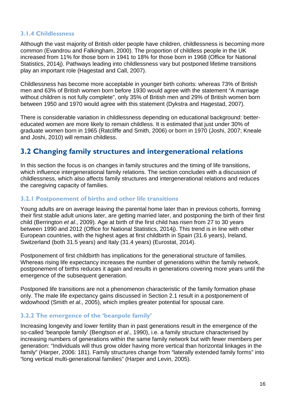#### <span id="page-15-0"></span>**3.1.4 Childlessness**

Although the vast majority of British older people have children, childlessness is becoming more common (Evandrou and Falkingham, 2000). The proportion of childless people in the UK increased from 11% for those born in 1941 to 18% for those born in 1968 (Office for National Statistics, 2014j). Pathways leading into childlessness vary but postponed lifetime transitions play an important role (Hagestad and Call, 2007).

Childlessness has become more acceptable in younger birth cohorts: whereas 73% of British men and 63% of British women born before 1930 would agree with the statement "A marriage without children is not fully complete", only 35% of British men and 29% of British women born between 1950 and 1970 would agree with this statement (Dykstra and Hagestad, 2007).

There is considerable variation in childlessness depending on educational background: bettereducated women are more likely to remain childless. It is estimated that just under 30% of graduate women born in 1965 (Ratcliffe and Smith, 2006) or born in 1970 (Joshi, 2007; Kneale and Joshi, 2010) will remain childless.

### <span id="page-15-1"></span>**3.2 Changing family structures and intergenerational relations**

In this section the focus is on changes in family structures and the timing of life transitions, which influence intergenerational family relations. The section concludes with a discussion of childlessness, which also affects family structures and intergenerational relations and reduces the caregiving capacity of families.

#### <span id="page-15-2"></span>**3.2.1 Postponement of births and other life transitions**

Young adults are on average leaving the parental home later than in previous cohorts, forming their first stable adult unions later, are getting married later, and postponing the birth of their first child (Berrington *et al*., 2009). Age at birth of the first child has risen from 27 to 30 years between 1990 and 2012 (Office for National Statistics, 2014j). This trend is in line with other European countries, with the highest ages at first childbirth in Spain (31.6 years), Ireland, Switzerland (both 31.5 years) and Italy (31.4 years) (Eurostat, 2014).

Postponement of first childbirth has implications for the generational structure of families. Whereas rising life expectancy increases the number of generations within the family network, postponement of births reduces it again and results in generations covering more years until the emergence of the subsequent generation.

Postponed life transitions are not a phenomenon characteristic of the family formation phase only. The male life expectancy gains discussed in Section 2.1 result in a postponement of widowhood (Smith *et al*., 2005), which implies greater potential for spousal care.

#### <span id="page-15-3"></span>**3.2.2 The emergence of the 'beanpole family'**

Increasing longevity and lower fertility than in past generations result in the emergence of the so-called 'beanpole family' (Bengtson *et al*., 1990), i.e. a family structure characterised by increasing numbers of generations within the same family network but with fewer members per generation: "Individuals will thus grow older having more vertical than horizontal linkages in the family" (Harper, 2006: 181). Family structures change from "laterally extended family forms" into "long vertical multi-generational families" (Harper and Levin, 2005).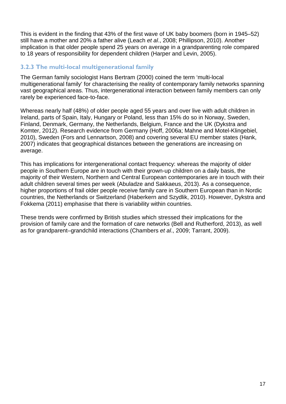This is evident in the finding that 43% of the first wave of UK baby boomers (born in 1945–52) still have a mother and 20% a father alive (Leach *et al*., 2008; Phillipson, 2010). Another implication is that older people spend 25 years on average in a grandparenting role compared to 18 years of responsibility for dependent children (Harper and Levin, 2005).

#### <span id="page-16-0"></span>**3.2.3 The multi-local multigenerational family**

The German family sociologist Hans Bertram (2000) coined the term 'multi-local multigenerational family' for characterising the reality of contemporary family networks spanning vast geographical areas. Thus, intergenerational interaction between family members can only rarely be experienced face-to-face.

Whereas nearly half (48%) of older people aged 55 years and over live with adult children in Ireland, parts of Spain, Italy, Hungary or Poland, less than 15% do so in Norway, Sweden, Finland, Denmark, Germany, the Netherlands, Belgium, France and the UK (Dykstra and Komter, 2012). Research evidence from Germany (Hoff, 2006a; Mahne and Motel-Klingebiel, 2010), Sweden (Fors and Lennartson, 2008) and covering several EU member states (Hank, 2007) indicates that geographical distances between the generations are increasing on average.

This has implications for intergenerational contact frequency: whereas the majority of older people in Southern Europe are in touch with their grown-up children on a daily basis, the majority of their Western, Northern and Central European contemporaries are in touch with their adult children several times per week (Abuladze and Sakkaeus, 2013). As a consequence, higher proportions of frail older people receive family care in Southern European than in Nordic countries, the Netherlands or Switzerland (Haberkern and Szydlik, 2010). However, Dykstra and Fokkema (2011) emphasise that there is variability within countries.

These trends were confirmed by British studies which stressed their implications for the provision of family care and the formation of care networks (Bell and Rutherford, 2013), as well as for grandparent–grandchild interactions (Chambers *et al*., 2009; Tarrant, 2009).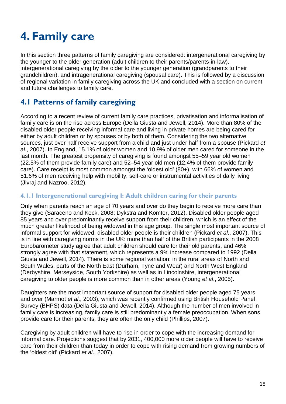## <span id="page-17-0"></span>**4. Family care**

In this section three patterns of family caregiving are considered: intergenerational caregiving by the younger to the older generation (adult children to their parents/parents-in-law), intergenerational caregiving by the older to the younger generation (grandparents to their grandchildren), and intragenerational caregiving (spousal care). This is followed by a discussion of regional variation in family caregiving across the UK and concluded with a section on current and future challenges to family care.

### <span id="page-17-1"></span>**4.1 Patterns of family caregiving**

According to a recent review of current family care practices, privatisation and informalisation of family care is on the rise across Europe (Della Giusta and Jewell, 2014). More than 80% of the disabled older people receiving informal care and living in private homes are being cared for either by adult children or by spouses or by both of them. Considering the two alternative sources, just over half receive support from a child and just under half from a spouse (Pickard *et al*., 2007). In England, 15.1% of older women and 10.9% of older men cared for someone in the last month. The greatest propensity of caregiving is found amongst 55–59 year old women (22.5% of them provide family care) and 52–54 year old men (12.4% of them provide family care). Care receipt is most common amongst the 'oldest old' (80+), with 66% of women and 51.6% of men receiving help with mobility, self-care or instrumental activities of daily living (Jivraj and Nazroo, 2012).

#### <span id="page-17-2"></span>**4.1.1 Intergenerational caregiving I: Adult children caring for their parents**

Only when parents reach an age of 70 years and over do they begin to receive more care than they give (Saraceno and Keck, 2008; Dykstra and Komter, 2012). Disabled older people aged 85 years and over predominantly receive support from their children, which is an effect of the much greater likelihood of being widowed in this age group. The single most important source of informal support for widowed, disabled older people is their children (Pickard *et al*., 2007). This is in line with caregiving norms in the UK: more than half of the British participants in the 2008 Eurobarometer study agree that adult children should care for their old parents, and 46% strongly agree with that statement, which represents a 9% increase compared to 1992 (Della Giusta and Jewell, 2014). There is some regional variation: in the rural areas of North and South Wales, parts of the North East (Durham, Tyne and Wear) and North West England (Derbyshire, Merseyside, South Yorkshire) as well as in Lincolnshire, intergenerational caregiving to older people is more common than in other areas (Young *et al*., 2005).

Daughters are the most important source of support for disabled older people aged 75 years and over (Marmot *et al*., 2003), which was recently confirmed using British Household Panel Survey (BHPS) data (Della Giusta and Jewell, 2014). Although the number of men involved in family care is increasing, family care is still predominantly a female preoccupation. When sons provide care for their parents, they are often the only child (Phillips, 2007).

Caregiving by adult children will have to rise in order to cope with the increasing demand for informal care. Projections suggest that by 2031, 400,000 more older people will have to receive care from their children than today in order to cope with rising demand from growing numbers of the 'oldest old' (Pickard *et al*., 2007).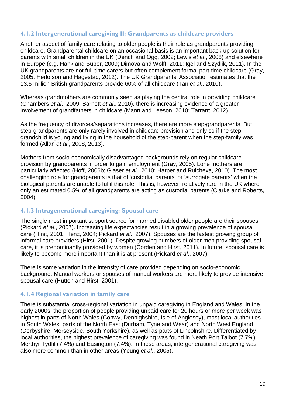#### <span id="page-18-0"></span>**4.1.2 Intergenerational caregiving II: Grandparents as childcare providers**

Another aspect of family care relating to older people is their role as grandparents providing childcare. Grandparental childcare on an occasional basis is an important back-up solution for parents with small children in the UK (Dench and Ogg, 2002; Lewis *et al*., 2008) and elsewhere in Europe (e.g. Hank and Buber, 2009; Dimova and Wolff, 2011; Igel and Szydlik, 2011). In the UK grandparents are not full-time carers but often complement formal part-time childcare (Gray, 2005; Herlofson and Hagestad, 2012). The UK Grandparents' Association estimates that the 13.5 million British grandparents provide 60% of all childcare (Tan *et al*., 2010).

Whereas grandmothers are commonly seen as playing the central role in providing childcare (Chambers *et al*., 2009; Barnett *et al*., 2010), there is increasing evidence of a greater involvement of grandfathers in childcare (Mann and Leeson, 2010; Tarrant, 2012).

As the frequency of divorces/separations increases, there are more step-grandparents. But step-grandparents are only rarely involved in childcare provision and only so if the stepgrandchild is young and living in the household of the step-parent when the step-family was formed (Allan *et al*., 2008, 2013).

Mothers from socio-economically disadvantaged backgrounds rely on regular childcare provision by grandparents in order to gain employment (Gray, 2005). Lone mothers are particularly affected (Hoff, 2006b; Glaser *et al*., 2010; Harper and Ruicheva, 2010). The most challenging role for grandparents is that of 'custodial parents' or 'surrogate parents' when the biological parents are unable to fulfil this role. This is, however, relatively rare in the UK where only an estimated 0.5% of all grandparents are acting as custodial parents (Clarke and Roberts, 2004).

#### <span id="page-18-1"></span>**4.1.3 Intragenerational caregiving: Spousal care**

The single most important support source for married disabled older people are their spouses (Pickard *et al*., 2007). Increasing life expectancies result in a growing prevalence of spousal care (Hirst, 2001; Henz, 2004; Pickard *et al*., 2007). Spouses are the fastest growing group of informal care providers (Hirst, 2001). Despite growing numbers of older men providing spousal care, it is predominantly provided by women (Corden and Hirst, 2011). In future, spousal care is likely to become more important than it is at present (Pickard *et al*., 2007).

There is some variation in the intensity of care provided depending on socio-economic background. Manual workers or spouses of manual workers are more likely to provide intensive spousal care (Hutton and Hirst, 2001).

#### <span id="page-18-2"></span>**4.1.4 Regional variation in family care**

There is substantial cross-regional variation in unpaid caregiving in England and Wales. In the early 2000s, the proportion of people providing unpaid care for 20 hours or more per week was highest in parts of North Wales (Conwy, Denbighshire, Isle of Anglesey), most local authorities in South Wales, parts of the North East (Durham, Tyne and Wear) and North West England (Derbyshire, Merseyside, South Yorkshire), as well as parts of Lincolnshire. Differentiated by local authorities, the highest prevalence of caregiving was found in Neath Port Talbot (7.7%), Merthyr Tydfil (7.4%) and Easington (7.4%). In these areas, intergenerational caregiving was also more common than in other areas (Young *et al*., 2005).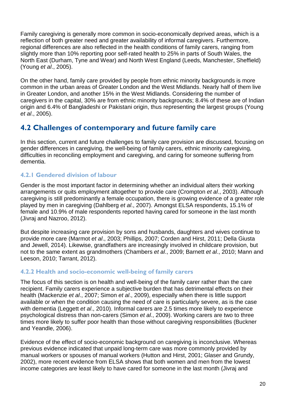Family caregiving is generally more common in socio-economically deprived areas, which is a reflection of both greater need and greater availability of informal caregivers. Furthermore, regional differences are also reflected in the health conditions of family carers, ranging from slightly more than 10% reporting poor self-rated health to 25% in parts of South Wales, the North East (Durham, Tyne and Wear) and North West England (Leeds, Manchester, Sheffield) (Young *et al*., 2005).

On the other hand, family care provided by people from ethnic minority backgrounds is more common in the urban areas of Greater London and the West Midlands. Nearly half of them live in Greater London, and another 15% in the West Midlands. Considering the number of caregivers in the capital, 30% are from ethnic minority backgrounds; 8.4% of these are of Indian origin and 6.4% of Bangladeshi or Pakistani origin, thus representing the largest groups (Young *et al*., 2005).

### <span id="page-19-0"></span>**4.2 Challenges of contemporary and future family care**

In this section, current and future challenges to family care provision are discussed, focusing on gender differences in caregiving, the well-being of family carers, ethnic minority caregiving, difficulties in reconciling employment and caregiving, and caring for someone suffering from dementia.

#### <span id="page-19-1"></span>**4.2.1 Gendered division of labour**

Gender is the most important factor in determining whether an individual alters their working arrangements or quits employment altogether to provide care (Crompton *et al*., 2003). Although caregiving is still predominantly a female occupation, there is growing evidence of a greater role played by men in caregiving (Dahlberg *et al*., 2007). Amongst ELSA respondents, 15.1% of female and 10.9% of male respondents reported having cared for someone in the last month (Jivraj and Nazroo, 2012).

But despite increasing care provision by sons and husbands, daughters and wives continue to provide more care (Marmot *et al*., 2003; Phillips, 2007; Corden and Hirst, 2011; Della Giusta and Jewell, 2014). Likewise, grandfathers are increasingly involved in childcare provision, but not to the same extent as grandmothers (Chambers *et al*., 2009; Barnett *et al*., 2010; Mann and Leeson, 2010; Tarrant, 2012).

#### <span id="page-19-2"></span>**4.2.2 Health and socio-economic well-being of family carers**

The focus of this section is on health and well-being of the family carer rather than the care recipient. Family carers experience a subjective burden that has detrimental effects on their health (Mackenzie *et al*., 2007; Simon *et al*., 2009), especially when there is little support available or when the condition causing the need of care is particularly severe, as is the case with dementia (Leggett *et al*., 2010). Informal carers are 2.5 times more likely to experience psychological distress than non-carers (Simon *et al*., 2009). Working carers are two to three times more likely to suffer poor health than those without caregiving responsibilities (Buckner and Yeandle, 2006).

Evidence of the effect of socio-economic background on caregiving is inconclusive. Whereas previous evidence indicated that unpaid long-term care was more commonly provided by manual workers or spouses of manual workers (Hutton and Hirst, 2001; Glaser and Grundy, 2002), more recent evidence from ELSA shows that both women and men from the lowest income categories are least likely to have cared for someone in the last month (Jivraj and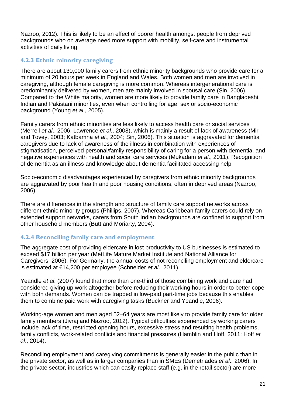Nazroo, 2012). This is likely to be an effect of poorer health amongst people from deprived backgrounds who on average need more support with mobility, self-care and instrumental activities of daily living.

#### <span id="page-20-0"></span>**4.2.3 Ethnic minority caregiving**

There are about 130,000 family carers from ethnic minority backgrounds who provide care for a minimum of 20 hours per week in England and Wales. Both women and men are involved in caregiving, although female caregiving is more common. Whereas intergenerational care is predominantly delivered by women, men are mainly involved in spousal care (Sin, 2006). Compared to the White majority, women are more likely to provide family care in Bangladeshi, Indian and Pakistani minorities, even when controlling for age, sex or socio-economic background (Young *et al*., 2005).

Family carers from ethnic minorities are less likely to access health care or social services (Merrell *et al*., 2006; Lawrence *et al*., 2008), which is mainly a result of lack of awareness (Mir and Tovey, 2003; Katbamna *et al*., 2004; Sin, 2006). This situation is aggravated for dementia caregivers due to lack of awareness of the illness in combination with experiences of stigmatisation, perceived personal/family responsibility of caring for a person with dementia, and negative experiences with health and social care services (Mukadam *et al*., 2011). Recognition of dementia as an illness and knowledge about dementia facilitated accessing help.

Socio-economic disadvantages experienced by caregivers from ethnic minority backgrounds are aggravated by poor health and poor housing conditions, often in deprived areas (Nazroo, 2006).

There are differences in the strength and structure of family care support networks across different ethnic minority groups (Phillips, 2007). Whereas Caribbean family carers could rely on extended support networks, carers from South Indian backgrounds are confined to support from other household members (Butt and Moriarty, 2004).

#### <span id="page-20-1"></span>**4.2.4 Reconciling family care and employment**

The aggregate cost of providing eldercare in lost productivity to US businesses is estimated to exceed \$17 billion per year (MetLife Mature Market Institute and National Alliance for Caregivers, 2006). For Germany, the annual costs of not reconciling employment and eldercare is estimated at €14,200 per employee (Schneider *et al*., 2011).

Yeandle *et al*. (2007) found that more than one-third of those combining work and care had considered giving up work altogether before reducing their working hours in order to better cope with both demands. Women can be trapped in low-paid part-time jobs because this enables them to combine paid work with caregiving tasks (Buckner and Yeandle, 2006).

Working-age women and men aged 52–64 years are most likely to provide family care for older family members (Jivraj and Nazroo, 2012). Typical difficulties experienced by working carers include lack of time, restricted opening hours, excessive stress and resulting health problems, family conflicts, work-related conflicts and financial pressures (Hamblin and Hoff, 2011; Hoff *et al*., 2014).

Reconciling employment and caregiving commitments is generally easier in the public than in the private sector, as well as in larger companies than in SMEs (Demetriades *et al*., 2006). In the private sector, industries which can easily replace staff (e.g. in the retail sector) are more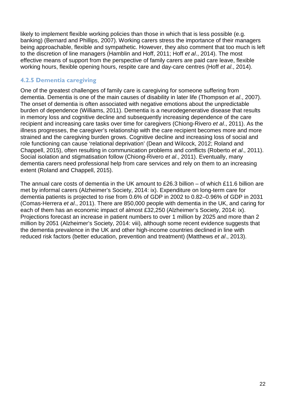likely to implement flexible working policies than those in which that is less possible (e.g. banking) (Bernard and Phillips, 2007). Working carers stress the importance of their managers being approachable, flexible and sympathetic. However, they also comment that too much is left to the discretion of line managers (Hamblin and Hoff, 2011; Hoff *et al*., 2014). The most effective means of support from the perspective of family carers are paid care leave, flexible working hours, flexible opening hours, respite care and day-care centres (Hoff *et al*., 2014).

#### <span id="page-21-0"></span>**4.2.5 Dementia caregiving**

One of the greatest challenges of family care is caregiving for someone suffering from dementia. Dementia is one of the main causes of disability in later life (Thompson *et al*., 2007). The onset of dementia is often associated with negative emotions about the unpredictable burden of dependence (Williams, 2011). Dementia is a neurodegenerative disease that results in memory loss and cognitive decline and subsequently increasing dependence of the care recipient and increasing care tasks over time for caregivers (Chiong-Rivero *et al*., 2011). As the illness progresses, the caregiver's relationship with the care recipient becomes more and more strained and the caregiving burden grows. Cognitive decline and increasing loss of social and role functioning can cause 'relational deprivation' (Dean and Wilcock, 2012; Roland and Chappell, 2015), often resulting in communication problems and conflicts (Roberto *et al*., 2011). Social isolation and stigmatisation follow (Chiong-Rivero *et al*., 2011). Eventually, many dementia carers need professional help from care services and rely on them to an increasing extent (Roland and Chappell, 2015).

The annual care costs of dementia in the UK amount to £26.3 billion – of which £11.6 billion are met by informal carers (Alzheimer's Society, 2014: ix). Expenditure on long-term care for dementia patients is projected to rise from 0.6% of GDP in 2002 to 0.82–0.96% of GDP in 2031 (Comas-Herrera *et al*., 2011). There are 850,000 people with dementia in the UK, and caring for each of them has an economic impact of almost £32,250 (Alzheimer's Society, 2014: ix). Projections forecast an increase in patient numbers to over 1 million by 2025 and more than 2 million by 2051 (Alzheimer's Society, 2014: viii), although some recent evidence suggests that the dementia prevalence in the UK and other high-income countries declined in line with reduced risk factors (better education, prevention and treatment) (Matthews *et al*., 2013).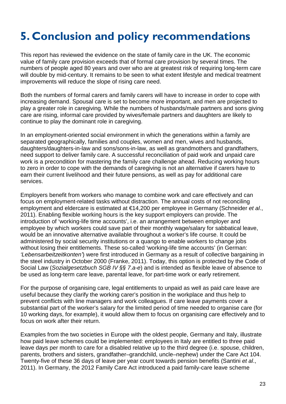## <span id="page-22-0"></span>**5. Conclusion and policy recommendations**

This report has reviewed the evidence on the state of family care in the UK. The economic value of family care provision exceeds that of formal care provision by several times. The numbers of people aged 80 years and over who are at greatest risk of requiring long-term care will double by mid-century. It remains to be seen to what extent lifestyle and medical treatment improvements will reduce the slope of rising care need.

Both the numbers of formal carers and family carers will have to increase in order to cope with increasing demand. Spousal care is set to become more important, and men are projected to play a greater role in caregiving. While the numbers of husbands/male partners and sons giving care are rising, informal care provided by wives/female partners and daughters are likely to continue to play the dominant role in caregiving.

In an employment-oriented social environment in which the generations within a family are separated geographically, families and couples, women and men, wives and husbands, daughters/daughters-in-law and sons/sons-in-law, as well as grandmothers and grandfathers, need support to deliver family care. A successful reconciliation of paid work and unpaid care work is a precondition for mastering the family care challenge ahead. Reducing working hours to zero in order to cope with the demands of caregiving is not an alternative if carers have to earn their current livelihood and their future pensions, as well as pay for additional care services.

Employers benefit from workers who manage to combine work and care effectively and can focus on employment-related tasks without distraction. The annual costs of not reconciling employment and eldercare is estimated at €14,200 per employee in Germany (Schneider *et al*., 2011). Enabling flexible working hours is the key support employers can provide. The introduction of 'working-life time accounts', i.e. an arrangement between employer and employee by which workers could save part of their monthly wage/salary for sabbatical leave, would be an innovative alternative available throughout a worker's life course. It could be administered by social security institutions or a quango to enable workers to change jobs without losing their entitlements. These so-called 'working-life time accounts' (in German: *'Lebensarbeitzeitkonten'*) were first introduced in Germany as a result of collective bargaining in the steel industry in October 2000 (Franke, 2011). Today, this option is protected by the Code of Social Law (*Sozialgesetzbuch SGB IV §§ 7.a-e*) and is intended as flexible leave of absence to be used as long-term care leave, parental leave, for part-time work or early retirement.

For the purpose of organising care, legal entitlements to unpaid as well as paid care leave are useful because they clarify the working carer's position in the workplace and thus help to prevent conflicts with line managers and work colleagues. If care leave payments cover a substantial part of the worker's salary for the limited period of time needed to organise care (for 10 working days, for example), it would allow them to focus on organising care effectively and to focus on work after their return.

Examples from the two societies in Europe with the oldest people, Germany and Italy, illustrate how paid leave schemes could be implemented: employees in Italy are entitled to three paid leave days per month to care for a disabled relative up to the third degree (i.e. spouse, children, parents, brothers and sisters, grandfather–grandchild, uncle–nephew) under the Care Act 104. Twenty-five of these 36 days of leave per year count towards pension benefits (Santini *et al*., 2011). In Germany, the 2012 Family Care Act introduced a paid family-care leave scheme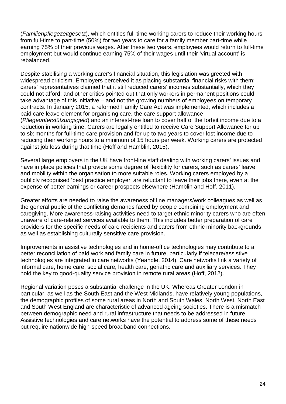(*Familienpflegezeitgesetz*), which entitles full-time working carers to reduce their working hours from full-time to part-time (50%) for two years to care for a family member part-time while earning 75% of their previous wages. After these two years, employees would return to full-time employment but would continue earning 75% of their wages until their 'virtual account' is rebalanced.

Despite stabilising a working carer's financial situation, this legislation was greeted with widespread criticism. Employers perceived it as placing substantial financial risks with them; carers' representatives claimed that it still reduced carers' incomes substantially, which they could not afford; and other critics pointed out that only workers in permanent positions could take advantage of this initiative – and not the growing numbers of employees on temporary contracts. In January 2015, a reformed Family Care Act was implemented, which includes a paid care leave element for organising care, the care support allowance (*Pflegeunterstützungsgeld*) and an interest-free loan to cover half of the forfeit income due to a reduction in working time. Carers are legally entitled to receive Care Support Allowance for up to six months for full-time care provision and for up to two years to cover lost income due to reducing their working hours to a minimum of 15 hours per week. Working carers are protected against job loss during that time (Hoff and Hamblin, 2015).

Several large employers in the UK have front-line staff dealing with working carers' issues and have in place policies that provide some degree of flexibility for carers, such as carers' leave, and mobility within the organisation to more suitable roles. Working carers employed by a publicly recognised 'best practice employer' are reluctant to leave their jobs there, even at the expense of better earnings or career prospects elsewhere (Hamblin and Hoff, 2011).

Greater efforts are needed to raise the awareness of line managers/work colleagues as well as the general public of the conflicting demands faced by people combining employment and caregiving. More awareness-raising activities need to target ethnic minority carers who are often unaware of care-related services available to them. This includes better preparation of care providers for the specific needs of care recipients and carers from ethnic minority backgrounds as well as establishing culturally sensitive care provision.

Improvements in assistive technologies and in home-office technologies may contribute to a better reconciliation of paid work and family care in future, particularly if telecare/assistive technologies are integrated in care networks (Yeandle, 2014). Care networks link a variety of informal care, home care, social care, health care, geriatric care and auxiliary services. They hold the key to good-quality service provision in remote rural areas (Hoff, 2012).

Regional variation poses a substantial challenge in the UK. Whereas Greater London in particular, as well as the South East and the West Midlands, have relatively young populations, the demographic profiles of some rural areas in North and South Wales, North West, North East and South West England are characteristic of advanced ageing societies. There is a mismatch between demographic need and rural infrastructure that needs to be addressed in future. Assistive technologies and care networks have the potential to address some of these needs but require nationwide high-speed broadband connections.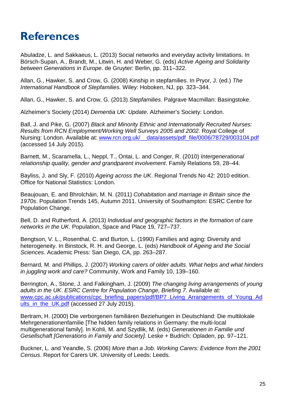## <span id="page-24-0"></span>**References**

Abuladze, L. and Sakkaeus, L. (2013) Social networks and everyday activity limitations. In Börsch-Supan, A., Brandt, M., Litwin, H. and Weber, G. (eds) *Active Ageing and Solidarity between Generations in Europe.* de Gruyter: Berlin, pp. 311–322.

Allan, G., Hawker, S. and Crow, G. (2008) Kinship in stepfamilies. In Pryor, J. (ed.) *The International Handbook of Stepfamilies.* Wiley: Hoboken, NJ, pp. 323–344.

Allan, G., Hawker, S. and Crow, G. (2013) *Stepfamilies*. Palgrave Macmillan: Basingstoke.

Alzheimer's Society (2014) *Dementia UK: Update*. Alzheimer's Society: London.

Ball, J. and Pike, G. (2007) *Black and Minority Ethnic and Internationally Recruited Nurses: Results from RCN Employment/Working Well Surveys 2005 and 2002.* Royal College of Nursing: London. Available at: www.rcn.org.uk/ data/assets/pdf\_file/0006/78729/003104.pdf (accessed 14 July 2015).

Barnett, M., Scaramella, L., Neppl, T., Ontai, L. and Conger, R. (2010) *Intergenerational relationship quality, gender and grandparent involvement*. Family Relations 59, 28–44.

Bayliss, J. and Sly, F. (2010) *Ageing across the UK*. Regional Trends No 42: 2010 edition. Office for National Statistics: London.

Beaujouan, E. and Bhrolcháin, M. N. (2011) *Cohabitation and marriage in Britain since the 1970s*. Population Trends 145, Autumn 2011. University of Southampton: ESRC Centre for Population Change.

Bell, D. and Rutherford, A. (2013) *Individual and geographic factors in the formation of care networks in the UK*. Population, Space and Place 19, 727–737.

Bengtson, V. L., Rosenthal, C. and Burton, L. (1990) Families and aging: Diversity and heterogeneity. In Binstock, R. H. and George, L. (eds) *Handbook of Ageing and the Social Sciences.* Academic Press: San Diego, CA, pp. 263–287.

Bernard, M. and Phillips, J. (2007) *Working carers of older adults. What helps and what hinders in juggling work and care?* Community, Work and Family 10, 139–160.

Berrington, A., Stone, J. and Falkingham, J. (2009) *The changing living arrangements of young adults in the UK*. *ESRC Centre for Population Change, Briefing 7.* Available at: [www.cpc.ac.uk/publications/cpc\\_briefing\\_papers/pdf/BP7\\_Living\\_Arrangements\\_of\\_Young\\_Ad](http://www.cpc.ac.uk/publications/cpc_briefing_papers/pdf/BP7_Living_Arrangements_of_Young_Adults_in_the_UK.pdf) [ults\\_in\\_the\\_UK.pdf](http://www.cpc.ac.uk/publications/cpc_briefing_papers/pdf/BP7_Living_Arrangements_of_Young_Adults_in_the_UK.pdf) (accessed 27 July 2015).

Bertram, H. (2000) Die verborgenen familiären Beziehungen in Deutschland: Die multilokale Mehrgenerationenfamilie [The hidden family relations in Germany: the multi-local multigenerational family]. In Kohli, M. and Szydlik, M. (eds) *Generationen in Familie und Gesellschaft [Generations in Family and Society].* Leske + Budrich: Opladen, pp. 97–121.

Buckner, L. and Yeandle, S. (2006) *More than a Job. Working Carers: Evidence from the 2001 Census*. Report for Carers UK. University of Leeds: Leeds.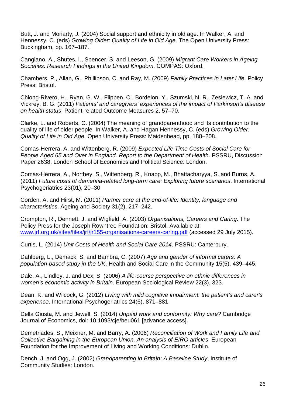Butt, J. and Moriarty, J. (2004) Social support and ethnicity in old age. In Walker, A. and Hennessy, C. (eds) *Growing Older: Quality of Life in Old Age.* The Open University Press: Buckingham, pp. 167–187.

Cangiano, A., Shutes, I., Spencer, S. and Leeson, G. (2009) *Migrant Care Workers in Ageing Societies: Research Findings in the United Kingdom*. COMPAS: Oxford.

Chambers, P., Allan, G., Phillipson, C. and Ray, M. (2009) *Family Practices in Later Life*. Policy Press: Bristol.

Chiong-Rivero, H., Ryan, G. W., Flippen, C., Bordelon, Y., Szumski, N. R., Zesiewicz, T. A. and Vickrey, B. G. (2011) *Patients' and caregivers' experiences of the impact of Parkinson's disease on health status*. Patient-related Outcome Measures 2, 57–70.

Clarke, L. and Roberts, C. (2004) The meaning of grandparenthood and its contribution to the quality of life of older people. In Walker, A. and Hagan Hennessy, C. (eds) *Growing Older: Quality of Life in Old Age.* Open University Press: Maidenhead, pp. 188–208.

Comas-Herrera, A. and Wittenberg, R. (2009) *Expected Life Time Costs of Social Care for People Aged 65 and Over in England. Report to the Department of Health*. PSSRU, Discussion Paper 2638, London School of Economics and Political Science: London.

Comas-Herrera, A., Northey, S., Wittenberg, R., Knapp, M., Bhattacharyya, S. and Burns, A. (2011) *Future costs of dementia-related long-term care: Exploring future scenarios*. International Psychogeriatrics 23(01), 20–30.

Corden, A. and Hirst, M. (2011) *Partner care at the end-of-life: Identity, language and characteristics*. Ageing and Society 31(2), 217–242.

Crompton, R., Dennett, J. and Wigfield, A. (2003) *Organisations, Careers and Caring*. The Policy Press for the Joseph Rowntree Foundation: Bristol. Available at: [www.jrf.org.uk/sites/files/jrf/jr155-organisations-careers-caring.pdf](http://www.jrf.org.uk/sites/files/jrf/jr155-organisations-careers-caring.pdf) (accessed 29 July 2015).

Curtis, L. (2014) *Unit Costs of Health and Social Care 2014*. PSSRU: Canterbury.

Dahlberg, L., Demack, S. and Bambra, C. (2007) *Age and gender of informal carers: A population-based study in the UK*. Health and Social Care in the Community 15(5), 439–445.

Dale, A., Lindley, J. and Dex, S. (2006) *A life-course perspective on ethnic differences in women's economic activity in Britain*. European Sociological Review 22(3), 323.

Dean, K. and Wilcock, G. (2012) *Living with mild cognitive impairment: the patient's and carer's experience*. International Psychogeriatrics 24(6), 871–881.

Della Giusta, M. and Jewell, S. (2014) *Unpaid work and conformity: Why care?* Cambridge Journal of Economics, doi: 10.1093/cje/beu061 [advance access].

Demetriades, S., Meixner, M. and Barry, A. (2006) *Reconciliation of Work and Family Life and Collective Bargaining in the European Union. An analysis of EIRO articles*. European Foundation for the Improvement of Living and Working Conditions: Dublin.

Dench, J. and Ogg, J. (2002) *Grandparenting in Britain: A Baseline Study.* Institute of Community Studies: London.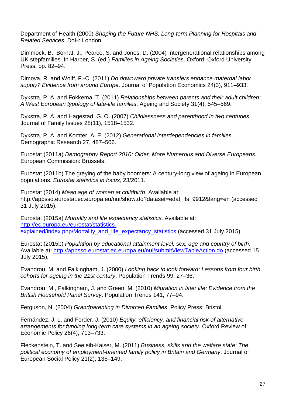Department of Health (2000) *Shaping the Future NHS: Long-term Planning for Hospitals and Related Services*. DoH: London.

Dimmock, B., Bornat, J., Pearce, S. and Jones, D. (2004) Intergenerational relationships among UK stepfamilies. In Harper, S. (ed.) *Families in Ageing Societies*. Oxford: Oxford University Press, pp. 82–94.

Dimova, R. and Wolff, F.-C. (2011) *Do downward private transfers enhance maternal labor supply? Evidence from around Europe*. Journal of Population Economics 24(3), 911–933.

Dykstra, P. A. and Fokkema, T. (2011) *Relationships between parents and their adult children: A West European typology of late-life families*. Ageing and Society 31(4), 545–569.

Dykstra, P. A. and Hagestad, G. O. (2007) *Childlessness and parenthood in two centuries*. Journal of Family Issues 28(11), 1518–1532.

Dykstra, P. A. and Komter, A. E. (2012) *Generational interdependencies in families*. Demographic Research 27, 487–506.

Eurostat (2011a) *Demography Report 2010: Older, More Numerous and Diverse Europeans*. European Commission: Brussels.

Eurostat (2011b) The greying of the baby boomers: A century-long view of ageing in European populations. *Eurostat statistics in focus,* 23/2011.

Eurostat (2014) *Mean age of women at childbirth*. Available at: http://appsso.eurostat.ec.europa.eu/nui/show.do?dataset=edat\_lfs\_9912&lang=en (accessed 31 July 2015).

Eurostat (2015a) *Mortality and life expectancy statistics*. Available at: [http://ec.europa.eu/eurostat/statistics](http://ec.europa.eu/eurostat/statistics-explained/index.php/Mortality_and_life_expectancy_statistics)[explained/index.php/Mortality\\_and\\_life\\_expectancy\\_statistics](http://ec.europa.eu/eurostat/statistics-explained/index.php/Mortality_and_life_expectancy_statistics) (accessed 31 July 2015).

Eurostat (2015b) *Population by educational attainment level, sex, age and country of birth*. Available at:<http://appsso.eurostat.ec.europa.eu/nui/submitViewTableAction.do> (accessed 15 July 2015).

Evandrou, M. and Falkingham, J. (2000) *Looking back to look forward: Lessons from four birth cohorts for ageing in the 21st century*. Population Trends 99, 27–36.

Evandrou, M., Falkingham, J. and Green, M. (2010) *Migration in later life: Evidence from the British Household Panel Survey*. Population Trends 141, 77–94.

Ferguson, N. (2004) *Grandparenting in Divorced Families*. Policy Press: Bristol.

Fernández, J. L. and Forder, J. (2010) *Equity, efficiency, and financial risk of alternative arrangements for funding long-term care systems in an ageing society*. Oxford Review of Economic Policy 26(4), 713–733.

Fleckenstein, T. and Seeleib-Kaiser, M. (2011) *Business, skills and the welfare state: The political economy of employment-oriented family policy in Britain and Germany*. Journal of European Social Policy 21(2), 136–149.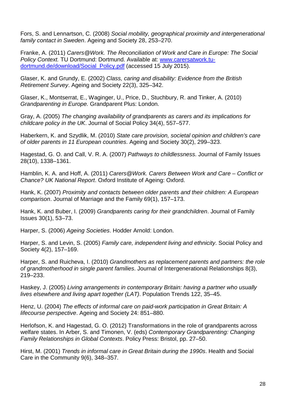Fors, S. and Lennartson, C. (2008) *Social mobility, geographical proximity and intergenerational family contact in Sweden*. Ageing and Society 28, 253–270.

Franke, A. (2011) *Carers@Work. The Reconciliation of Work and Care in Europe: The Social Policy Context.* TU Dortmund: Dortmund. Available at: [www.carersatwork.tu](http://www.carersatwork.tu-dortmund.de/download/Social_Policy.pdf)[dortmund.de/download/Social\\_Policy.pdf](http://www.carersatwork.tu-dortmund.de/download/Social_Policy.pdf) (accessed 15 July 2015).

Glaser, K. and Grundy, E. (2002) *Class, caring and disability: Evidence from the British Retirement Survey*. Ageing and Society 22(3), 325–342.

Glaser, K., Montserrat, E., Waginger, U., Price, D., Stuchbury, R. and Tinker, A. (2010) *Grandparenting in Europe.* Grandparent Plus: London.

Gray, A. (2005) *The changing availability of grandparents as carers and its implications for childcare policy in the UK*. Journal of Social Policy 34(4), 557–577.

Haberkern, K. and Szydlik, M. (2010) *State care provision, societal opinion and children's care of older parents in 11 European countries*. Ageing and Society 30(2), 299–323.

Hagestad, G. O. and Call, V. R. A. (2007) *Pathways to childlessness*. Journal of Family Issues 28(10), 1338–1361.

Hamblin, K. A. and Hoff, A. (2011) *Carers@Work. Carers Between Work and Care – Conflict or Chance? UK National Report*. Oxford Institute of Ageing: Oxford.

Hank, K. (2007) *Proximity and contacts between older parents and their children: A European comparison*. Journal of Marriage and the Family 69(1), 157–173.

Hank, K. and Buber, I. (2009) *Grandparents caring for their grandchildren*. Journal of Family Issues 30(1), 53–73.

Harper, S. (2006) *Ageing Societies*. Hodder Arnold: London.

Harper, S. and Levin, S. (2005) *Family care, independent living and ethnicity*. Social Policy and Society 4(2), 157–169.

Harper, S. and Ruicheva, I. (2010) *Grandmothers as replacement parents and partners: the role of grandmotherhood in single parent families*. Journal of Intergenerational Relationships 8(3), 219–233.

Haskey, J. (2005) *Living arrangements in contemporary Britain: having a partner who usually lives elsewhere and living apart together (LAT)*. Population Trends 122, 35–45.

Henz, U. (2004) *The effects of informal care on paid-work participation in Great Britain: A lifecourse perspective*. Ageing and Society 24: 851–880.

Herlofson, K. and Hagestad, G. O. (2012) Transformations in the role of grandparents across welfare states. In Arber, S. and Timonen, V. (eds) *Contemporary Grandparenting: Changing Family Relationships in Global Contexts*. Policy Press: Bristol, pp. 27–50.

Hirst, M. (2001) *Trends in informal care in Great Britain during the 1990s*. Health and Social Care in the Community 9(6), 348–357.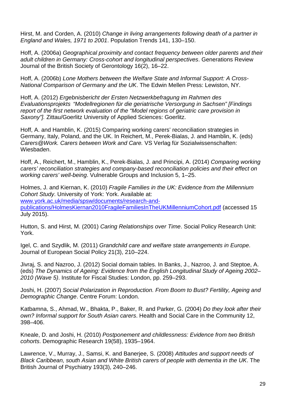Hirst, M. and Corden, A. (2010) *Change in living arrangements following death of a partner in England and Wales, 1971 to 2001*. Population Trends 141, 130–150.

Hoff, A. (2006a) *Geographical proximity and contact frequency between older parents and their adult children in Germany: Cross-cohort and longitudinal perspectives*. Generations Review Journal of the British Society of Gerontology 16(2), 16–22.

Hoff, A. (2006b) *Lone Mothers between the Welfare State and Informal Support: A Cross-National Comparison of Germany and the UK*. The Edwin Mellen Press: Lewiston, NY.

Hoff, A. (2012) *Ergebnisbericht der Ersten Netzwerkbefragung im Rahmen des Evaluationsprojekts "Modellregionen für die geriatrische Versorgung in Sachsen" [Findings report of the first network evaluation of the "Model regions of geriatric care provision in Saxony"].* Zittau/Goerlitz University of Applied Sciences: Goerlitz.

Hoff, A. and Hamblin, K. (2015) Comparing working carers' reconciliation strategies in Germany, Italy, Poland, and the UK. In Reichert, M., Perek-Bialas, J. and Hamblin, K. (eds) *Carers@Work. Carers between Work and Care.* VS Verlag für Sozialwissenschaften: Wiesbaden.

Hoff, A., Reichert, M., Hamblin, K., Perek-Bialas, J. and Principi, A. (2014) *Comparing working carers' reconciliation strategies and company-based reconciliation policies and their effect on working carers' well-being*. Vulnerable Groups and Inclusion 5, 1–25.

Holmes, J. and Kiernan, K. (2010) *Fragile Families in the UK: Evidence from the Millennium Cohort Study*. University of York: York. Available at: [www.york.ac.uk/media/spsw/documents/research-and](http://www.york.ac.uk/media/spsw/documents/research-and-publications/HolmesKiernan2010FragileFamiliesInTheUKMillenniumCohort.pdf)[publications/HolmesKiernan2010FragileFamiliesInTheUKMillenniumCohort.pdf](http://www.york.ac.uk/media/spsw/documents/research-and-publications/HolmesKiernan2010FragileFamiliesInTheUKMillenniumCohort.pdf) (accessed 15 July 2015).

Hutton, S. and Hirst, M. (2001) *Caring Relationships over Time*. Social Policy Research Unit: York.

Igel, C. and Szydlik, M. (2011) *Grandchild care and welfare state arrangements in Europe*. Journal of European Social Policy 21(3), 210–224.

Jivraj, S. and Nazroo, J. (2012) Social domain tables. In Banks, J., Nazroo, J. and Steptoe, A. (eds) *The Dynamics of Ageing: Evidence from the English Longitudinal Study of Ageing 2002– 2010 (Wave 5)*. Institute for Fiscal Studies: London, pp. 259–293.

Joshi, H. (2007) *Social Polarization in Reproduction. From Boom to Bust? Fertility, Ageing and Demographic Change*. Centre Forum: London.

Katbamna, S., Ahmad, W., Bhakta, P., Baker, R. and Parker, G. (2004) *Do they look after their own? Informal support for South Asian carers*. Health and Social Care in the Community 12, 398–406.

Kneale, D. and Joshi, H. (2010) *Postponement and childlessness: Evidence from two British cohorts*. Demographic Research 19(58), 1935–1964.

Lawrence, V., Murray, J., Samsi, K. and Banerjee, S. (2008) *Attitudes and support needs of Black Caribbean, south Asian and White British carers of people with dementia in the UK*. The British Journal of Psychiatry 193(3), 240–246.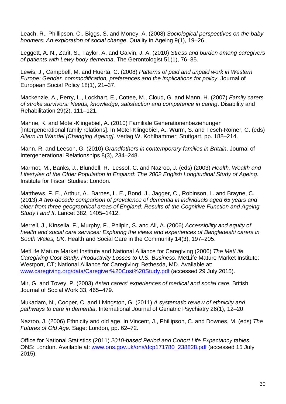Leach, R., Phillipson, C., Biggs, S. and Money, A. (2008) *Sociological perspectives on the baby boomers: An exploration of social change*. Quality in Ageing 9(1), 19–26.

Leggett, A. N., Zarit, S., Taylor, A. and Galvin, J. A. (2010) *Stress and burden among caregivers of patients with Lewy body dementia*. The Gerontologist 51(1), 76–85.

Lewis, J., Campbell, M. and Huerta, C. (2008) *Patterns of paid and unpaid work in Western Europe: Gender, commodification, preferences and the implications for policy*. Journal of European Social Policy 18(1), 21–37.

Mackenzie, A., Perry, L., Lockhart, E., Cottee, M., Cloud, G. and Mann, H. (2007) *Family carers of stroke survivors: Needs, knowledge, satisfaction and competence in caring*. Disability and Rehabilitation 29(2), 111–121.

Mahne, K. and Motel-Klingebiel, A. (2010) Familiale Generationenbeziehungen [Intergenerational family relations]. In Motel-Klingebiel, A., Wurm, S. and Tesch-Römer, C. (eds) *Altern im Wandel [Changing Ageing]*. Verlag W. Kohlhammer: Stuttgart, pp. 188–214.

Mann, R. and Leeson, G. (2010) *Grandfathers in contemporary families in Britain*. Journal of Intergenerational Relationships 8(3), 234–248.

Marmot, M., Banks, J., Blundell, R., Lessof, C. and Nazroo, J. (eds) (2003) *Health, Wealth and Lifestyles of the Older Population in England: The 2002 English Longitudinal Study of Ageing.*  Institute for Fiscal Studies: London.

Matthews, F. E., Arthur, A., Barnes, L. E., Bond, J., Jagger, C., Robinson, L. and Brayne, C. (2013) *A two-decade comparison of prevalence of dementia in individuals aged 65 years and older from three geographical areas of England: Results of the Cognitive Function and Ageing Study I and II*. Lancet 382, 1405–1412.

Merrell, J., Kinsella, F., Murphy, F., Philpin, S. and Ali, A. (2006) *Accessibility and equity of health and social care services: Exploring the views and experiences of Bangladeshi carers in South Wales, UK*. Health and Social Care in the Community 14(3), 197–205.

MetLife Mature Market Institute and National Alliance for Caregiving (2006) *The MetLife Caregiving Cost Study: Productivity Losses to U.S. Business*. MetLife Mature Market Institute: Westport, CT; National Alliance for Caregiving: Bethesda, MD. Available at: [www.caregiving.org/data/Caregiver%20Cost%20Study.pdf](http://www.caregiving.org/data/Caregiver%20Cost%20Study.pdf) (accessed 29 July 2015).

Mir, G. and Tovey, P. (2003) *Asian carers' experiences of medical and social care*. British Journal of Social Work 33, 465–479.

Mukadam, N., Cooper, C. and Livingston, G. (2011) *A systematic review of ethnicity and pathways to care in dementia*. International Journal of Geriatric Psychiatry 26(1), 12–20.

Nazroo, J. (2006) Ethnicity and old age. In Vincent, J., Phillipson, C. and Downes, M. (eds) *The Futures of Old Age.* Sage: London, pp. 62–72.

Office for National Statistics (2011) *2010-based Period and Cohort Life Expectancy tables.* ONS: London. Available at: [www.ons.gov.uk/ons/dcp171780\\_238828.pdf](http://www.ons.gov.uk/ons/dcp171780_238828.pdf) (accessed 15 July 2015).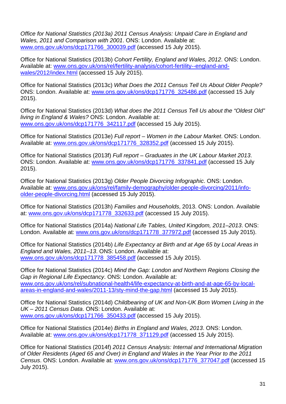*Office for National Statistics (2013a) 2011 Census Analysis: Unpaid Care in England and Wales, 2011 and Comparison with 2001*. ONS: London. Available at: [www.ons.gov.uk/ons/dcp171766\\_300039.pdf](http://www.ons.gov.uk/ons/dcp171766_300039.pdf) (accessed 15 July 2015).

Office for National Statistics (2013b) *Cohort Fertility, England and Wales, 2012*. ONS: London. Available at: [www.ons.gov.uk/ons/rel/fertility-analysis/cohort-fertility--england-and](http://www.ons.gov.uk/ons/rel/fertility-analysis/cohort-fertility--england-and-wales/2012/index.html)[wales/2012/index.html](http://www.ons.gov.uk/ons/rel/fertility-analysis/cohort-fertility--england-and-wales/2012/index.html) (accessed 15 July 2015).

Office for National Statistics (2013c) *What Does the 2011 Census Tell Us About Older People?* ONS: London. Available at: [www.ons.gov.uk/ons/dcp171776\\_325486.pdf](http://www.ons.gov.uk/ons/dcp171776_325486.pdf) (accessed 15 July 2015).

Office for National Statistics (2013d) *What does the 2011 Census Tell Us about the "Oldest Old" living in England & Wales?* ONS: London. Available at: [www.ons.gov.uk/ons/dcp171776\\_342117.pdf](http://www.ons.gov.uk/ons/dcp171776_342117.pdf) (accessed 15 July 2015).

Office for National Statistics (2013e) *Full report – Women in the Labour Market*. ONS: London. Available at: [www.ons.gov.uk/ons/dcp171776\\_328352.pdf](http://www.ons.gov.uk/ons/dcp171776_328352.pdf) (accessed 15 July 2015).

Office for National Statistics (2013f) *Full report – Graduates in the UK Labour Market 2013*. ONS: London. Available at: [www.ons.gov.uk/ons/dcp171776\\_337841.pdf](http://www.ons.gov.uk/ons/dcp171776_337841.pdf) (accessed 15 July 2015).

Office for National Statistics (2013g) *Older People Divorcing Infographic*. ONS: London. Available at: [www.ons.gov.uk/ons/rel/family-demography/older-people-divorcing/2011/info](http://www.ons.gov.uk/ons/rel/family-demography/older-people-divorcing/2011/info-older-people-divorcing.html)[older-people-divorcing.html](http://www.ons.gov.uk/ons/rel/family-demography/older-people-divorcing/2011/info-older-people-divorcing.html) (accessed 15 July 2015).

Office for National Statistics (2013h) *Families and Households*, 2013. ONS: London. Available at: [www.ons.gov.uk/ons/dcp171778\\_332633.pdf](http://www.ons.gov.uk/ons/dcp171778_332633.pdf) (accessed 15 July 2015).

Office for National Statistics (2014a) *National Life Tables, United Kingdom, 2011–2013*. ONS: London. Available at: [www.ons.gov.uk/ons/dcp171778\\_377972.pdf](http://www.ons.gov.uk/ons/dcp171778_377972.pdf) (accessed 15 July 2015).

Office for National Statistics (2014b) *Life Expectancy at Birth and at Age 65 by Local Areas in England and Wales, 2011–13*. ONS: London. Available at: [www.ons.gov.uk/ons/dcp171778\\_385458.pdf](http://www.ons.gov.uk/ons/dcp171778_385458.pdf) (accessed 15 July 2015).

Office for National Statistics (2014c) *Mind the Gap: London and Northern Regions Closing the Gap in Regional Life Expectancy*. ONS: London. Available at: [www.ons.gov.uk/ons/rel/subnational-health4/life-expectancy-at-birth-and-at-age-65-by-local](http://www.ons.gov.uk/ons/rel/subnational-health4/life-expectancy-at-birth-and-at-age-65-by-local-areas-in-england-and-wales/2011-13/sty-mind-the-gap.html)[areas-in-england-and-wales/2011-13/sty-mind-the-gap.html](http://www.ons.gov.uk/ons/rel/subnational-health4/life-expectancy-at-birth-and-at-age-65-by-local-areas-in-england-and-wales/2011-13/sty-mind-the-gap.html) (accessed 15 July 2015).

Office for National Statistics (2014d) *Childbearing of UK and Non-UK Born Women Living in the UK – 2011 Census Data*. ONS: London. Available at: [www.ons.gov.uk/ons/dcp171766\\_350433.pdf](http://www.ons.gov.uk/ons/dcp171766_350433.pdf) (accessed 15 July 2015).

Office for National Statistics (2014e) *Births in England and Wales, 2013*. ONS: London. Available at: [www.ons.gov.uk/ons/dcp171778\\_371129.pdf](http://www.ons.gov.uk/ons/dcp171778_371129.pdf) (accessed 15 July 2015).

Office for National Statistics (2014f) *2011 Census Analysis: Internal and International Migration of Older Residents (Aged 65 and Over) in England and Wales in the Year Prior to the 2011 Census*. ONS: London. Available at: [www.ons.gov.uk/ons/dcp171776\\_377047.pdf](http://www.ons.gov.uk/ons/dcp171776_377047.pdf) (accessed 15 July 2015).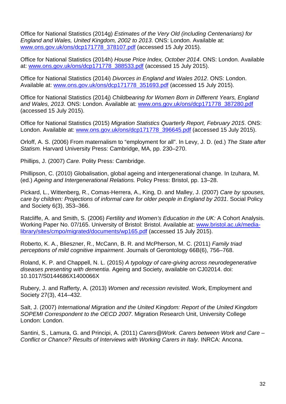Office for National Statistics (2014g) *Estimates of the Very Old (including Centenarians) for England and Wales, United Kingdom, 2002 to 2013*. ONS: London. Available at: [www.ons.gov.uk/ons/dcp171778\\_378107.pdf](http://www.ons.gov.uk/ons/dcp171778_378107.pdf) (accessed 15 July 2015).

Office for National Statistics (2014h) *House Price Index, October 2014*. ONS: London. Available at: [www.ons.gov.uk/ons/dcp171778\\_388533.pdf](http://www.ons.gov.uk/ons/dcp171778_388533.pdf) (accessed 15 July 2015).

Office for National Statistics (2014i) *Divorces in England and Wales 2012*. ONS: London. Available at: [www.ons.gov.uk/ons/dcp171778\\_351693.pdf](http://www.ons.gov.uk/ons/dcp171778_351693.pdf) (accessed 15 July 2015).

Office for National Statistics (2014j) *Childbearing for Women Born in Different Years, England and Wales, 2013*. ONS: London. Available at: [www.ons.gov.uk/ons/dcp171778\\_387280.pdf](http://www.ons.gov.uk/ons/dcp171778_387280.pdf) (accessed 15 July 2015).

Office for National Statistics (2015) *Migration Statistics Quarterly Report, February 2015*. ONS: London. Available at: [www.ons.gov.uk/ons/dcp171778\\_396645.pdf](http://www.ons.gov.uk/ons/dcp171778_396645.pdf) (accessed 15 July 2015).

Orloff, A. S. (2006) From maternalism to "employment for all". In Levy, J. D. (ed.) *The State after Statism.* Harvard University Press: Cambridge, MA, pp. 230–270.

Phillips, J. (2007) *Care.* Polity Press: Cambridge.

Phillipson, C. (2010) Globalisation, global ageing and intergenerational change. In Izuhara, M. (ed.) *Ageing and Intergenerational Relations.* Policy Press: Bristol, pp. 13–28.

Pickard, L., Wittenberg, R., Comas-Herrera, A., King, D. and Malley, J. (2007) *Care by spouses, care by children: Projections of informal care for older people in England by 2031*. Social Policy and Society 6(3), 353–366.

Ratcliffe, A. and Smith, S. (2006) *Fertility and Women's Education in the UK:* A Cohort Analysis. Working Paper No. 07/165. University of Bristol: Bristol. Available at: [www.bristol.ac.uk/media](http://www.bristol.ac.uk/media-library/sites/cmpo/migrated/documents/wp165.pdf)[library/sites/cmpo/migrated/documents/wp165.pdf](http://www.bristol.ac.uk/media-library/sites/cmpo/migrated/documents/wp165.pdf) (accessed 15 July 2015).

Roberto, K. A., Blieszner, R., McCann, B. R. and McPherson, M. C. (2011) *Family triad perceptions of mild cognitive impairment*. Journals of Gerontology 66B(6), 756–768.

Roland, K. P. and Chappell, N. L. (2015) *A typology of care-giving across neurodegenerative diseases presenting with dementia*. Ageing and Society, available on CJ02014. doi: 10.1017/S0144686X1400066X

Rubery, J. and Rafferty, A. (2013) *Women and recession revisited*. Work, Employment and Society 27(3), 414–432.

Salt, J. (2007) *International Migration and the United Kingdom: Report of the United Kingdom SOPEMI Correspondent to the OECD 2007*. Migration Research Unit, University College London: London.

Santini, S., Lamura, G. and Principi, A. (2011) *Carers@Work. Carers between Work and Care – Conflict or Chance? Results of Interviews with Working Carers in Italy*. INRCA: Ancona.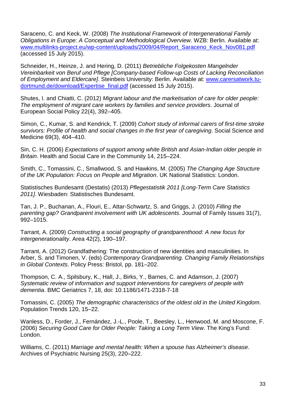Saraceno, C. and Keck, W. (2008) *The Institutional Framework of Intergenerational Family Obligations in Europe: A Conceptual and Methodological Overview*. WZB: Berlin. Available at: [www.multilinks-project.eu/wp-content/uploads/2009/04/Report\\_Saraceno\\_Keck\\_Nov081.pdf](http://www.multilinks-project.eu/wp-content/uploads/2009/04/Report_Saraceno_Keck_Nov081.pdf) (accessed 15 July 2015).

Schneider, H., Heinze, J. and Hering, D. (2011) *Betriebliche Folgekosten Mangelnder Vereinbarkeit von Beruf und Pflege [Company-based Follow-up Costs of Lacking Reconciliation of Employment and Eldercare]*. Steinbeis University: Berlin. Available at: [www.carersatwork.tu](http://www.carersatwork.tu-dortmund.de/download/Expertise_final.pdf)[dortmund.de/download/Expertise\\_final.pdf](http://www.carersatwork.tu-dortmund.de/download/Expertise_final.pdf) (accessed 15 July 2015).

Shutes, I. and Chiatti, C. (2012) *Migrant labour and the marketisation of care for older people: The employment of migrant care workers by families and service providers*. Journal of European Social Policy 22(4), 392–405.

Simon, C., Kumar, S. and Kendrick, T. (2009) *Cohort study of informal carers of first-time stroke survivors: Profile of health and social changes in the first year of caregiving*. Social Science and Medicine 69(3), 404–410.

Sin, C. H. (2006) *Expectations of support among white British and Asian-Indian older people in Britain*. Health and Social Care in the Community 14, 215–224.

Smith, C., Tomassini, C., Smallwood, S. and Hawkins, M. (2005) *The Changing Age Structure of the UK Population: Focus on People and Migration*. UK National Statistics: London.

Statistisches Bundesamt (Destatis) (2013) *Pflegestatistik 2011 [Long-Term Care Statistics 2011]*. Wiesbaden: Statistisches Bundesamt.

Tan, J. P., Buchanan, A., Flouri, E., Attar-Schwartz, S. and Griggs, J. (2010) *Filling the parenting gap? Grandparent involvement with UK adolescents*. Journal of Family Issues 31(7), 992–1015.

Tarrant, A. (2009) *Constructing a social geography of grandparenthood: A new focus for intergenerationality*. Area 42(2), 190–197.

Tarrant, A. (2012) Grandfathering: The construction of new identities and masculinities. In Arber, S. and Timonen, V. (eds) *Contemporary Grandparenting. Changing Family Relationships in Global Contexts*. Policy Press: Bristol, pp. 181–202.

Thompson, C. A., Spilsbury, K., Hall, J., Birks, Y., Barnes, C. and Adamson, J. (2007) *Systematic review of information and support interventions for caregivers of people with dementia*. BMC Geriatrics 7, 18, doi: 10.1186/1471-2318-7-18

Tomassini, C. (2005) *The demographic characteristics of the oldest old in the United Kingdom*. Population Trends 120, 15–22.

Wanless, D., Forder, J., Fernández, J.-L., Poole, T., Beesley, L., Henwood, M. and Moscone, F. (2006) *Securing Good Care for Older People: Taking a Long Term View*. The King's Fund: London.

Williams, C. (2011) *Marriage and mental health: When a spouse has Alzheimer's disease*. Archives of Psychiatric Nursing 25(3), 220–222.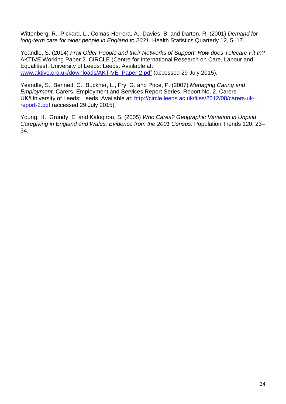Wittenberg, R., Pickard, L., Comas-Herrera, A., Davies, B. and Darton, R. (2001) *Demand for long-term care for older people in England to 2031*. Health Statistics Quarterly 12, 5–17.

Yeandle, S. (2014) *Frail Older People and their Networks of Support: How does Telecare Fit In?* AKTIVE Working Paper 2. CIRCLE (Centre for International Research on Care, Labour and Equalities), University of Leeds: Leeds. Available at: [www.aktive.org.uk/downloads/AKTIVE\\_Paper-2.pdf](http://www.aktive.org.uk/downloads/AKTIVE_Paper-2.pdf) (accessed 29 July 2015).

Yeandle, S., Bennett, C., Buckner, L., Fry, G. and Price, P. (2007) *Managing Caring and Employment*. Carers, Employment and Services Report Series, Report No. 2. Carers UK/University of Leeds: Leeds. Available at: [http://circle.leeds.ac.uk/files/2012/08/carers-uk](http://circle.leeds.ac.uk/files/2012/08/carers-uk-report-2.pdf)[report-2.pdf](http://circle.leeds.ac.uk/files/2012/08/carers-uk-report-2.pdf) (accessed 29 July 2015).

Young, H., Grundy, E. and Kalogirou, S. (2005) *Who Cares? Geographic Variation in Unpaid Caregiving in England and Wales: Evidence from the 2001 Census*. Population Trends 120, 23– 34.